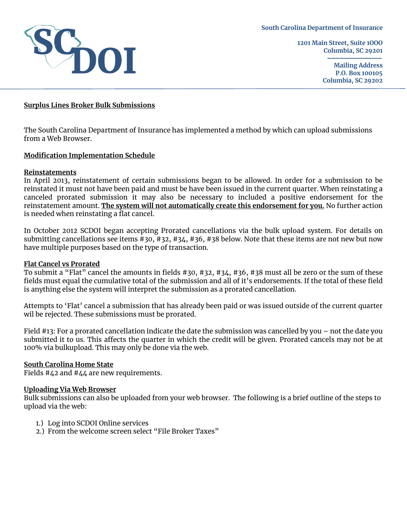

**1201 Main Street, Suite 1OOO Columbia, SC 29201**

> **Mailing Address P.O. Box 100105 Columbia, SC 29202**

## **Surplus Lines Broker Bulk Submissions**

The South Carolina Department of Insurance has implemented a method by which can upload submissions from a Web Browser.

## **Modification Implementation Schedule**

#### **Reinstatements**

In April 2013, reinstatement of certain submissions began to be allowed. In order for a submission to be reinstated it must not have been paid and must be have been issued in the current quarter. When reinstating a canceled prorated submission it may also be necessary to included a positive endorsement for the reinstatement amount. **The system will not automatically create this endorsement for you.** No further action is needed when reinstating a flat cancel.

In October 2012 SCDOI began accepting Prorated cancellations via the bulk upload system. For details on submitting cancellations see items #30, #32, #34, #36, #38 below. Note that these items are not new but now have multiple purposes based on the type of transaction.

#### **Flat Cancel vs Prorated**

To submit a "Flat" cancel the amounts in fields #30, #32, #34, #36, #38 must all be zero or the sum of these fields must equal the cumulative total of the submission and all of it's endorsements. If the total of these field is anything else the system will interpret the submission as a prorated cancellation.

Attempts to 'Flat' cancel a submission that has already been paid or was issued outside of the current quarter wil be rejected. These submissions must be prorated.

Field #13: For a prorated cancellation indicate the date the submission was cancelled by you – not the date you submitted it to us. This affects the quarter in which the credit will be given. Prorated cancels may not be at 100% via bulkupload. This may only be done via the web.

## **South Carolina Home State**

Fields #42 and #44 are new requirements.

#### **Uploading Via Web Browser**

Bulk submissions can also be uploaded from your web browser. The following is a brief outline of the steps to upload via the web:

- 1.) Log into SCDOI Online services
- 2.) From the welcome screen select "File Broker Taxes"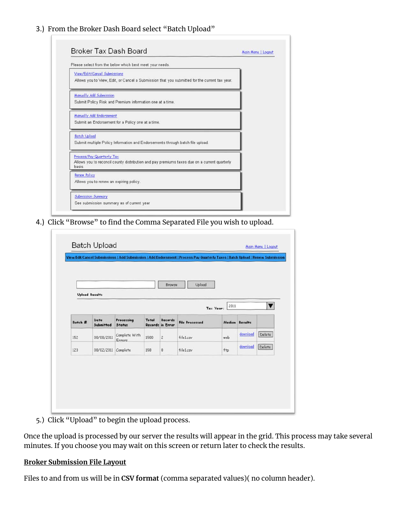# 3.) From the Broker Dash Board select "Batch Upload"

| Broker Tax Dash Board                                                                                                               | Main Menu   Logout |
|-------------------------------------------------------------------------------------------------------------------------------------|--------------------|
| Please select from the below which best meet your needs.                                                                            |                    |
| View/Edit/Cancel Submissions<br>Allows you to View, Edit, or Cancel a Submission that you submitted for the current tax year.       |                    |
| Manually Add Submission<br>Submit Policy Risk and Premium information one at a time.                                                |                    |
| Manually Add Endorsement<br>Submit an Endorsement for a Policy one at a time.                                                       |                    |
| <b>Batch Upload</b><br>Submit multiple Policy Information and Endorsements through batch file upload.                               |                    |
| Process/Pay Quarterly Tax<br>Allows you to reconcil county distribution and pay premiums taxes due on a current quarterly<br>basis. |                    |
| <b>Renew Policy</b><br>Allows you to renew an expiring policy.                                                                      |                    |
| Submission Summary<br>See submission summary as of current year                                                                     |                    |

4.) Click "Browse" to find the Comma Separated File you wish to upload.

|                       |                     |                                |       | Browse                      | Upload                |                   |                |                      |
|-----------------------|---------------------|--------------------------------|-------|-----------------------------|-----------------------|-------------------|----------------|----------------------|
| <b>Upload Results</b> |                     |                                |       |                             |                       |                   |                |                      |
|                       |                     |                                |       |                             |                       | 2011<br>Tax Year: |                | $\blacktriangledown$ |
| Batch #               | Date<br>Submitted   | Processing<br>Status           | Total | Records<br>Records in Error | <b>File Processed</b> |                   | Median Results |                      |
| 152                   | 08/08/2011          | Complete With<br><b>Errors</b> | 1500  | $\overline{c}$              | filel.csv             | web               | download       | Delete               |
| 123                   | 08/02/2011 Complete |                                | 158   | 0                           | fileLcsy              | ftp               | download       | Delete               |
|                       |                     |                                |       |                             |                       |                   |                |                      |

5.) Click "Upload" to begin the upload process.

Once the upload is processed by our server the results will appear in the grid. This process may take several minutes. If you choose you may wait on this screen or return later to check the results.

## **Broker Submission File Layout**

Files to and from us will be in **CSV format** (comma separated values)( no column header).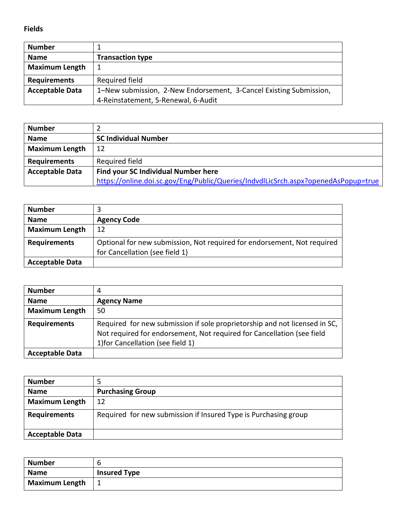**Fields**

| <b>Number</b>          |                                                                    |
|------------------------|--------------------------------------------------------------------|
| <b>Name</b>            | <b>Transaction type</b>                                            |
| <b>Maximum Length</b>  |                                                                    |
| <b>Requirements</b>    | Required field                                                     |
| <b>Acceptable Data</b> | 1-New submission, 2-New Endorsement, 3-Cancel Existing Submission, |
|                        | 4-Reinstatement, 5-Renewal, 6-Audit                                |

| <b>Number</b>          |                                                                                    |
|------------------------|------------------------------------------------------------------------------------|
| <b>Name</b>            | <b>SC Individual Number</b>                                                        |
| <b>Maximum Length</b>  | 12                                                                                 |
| <b>Requirements</b>    | Required field                                                                     |
| <b>Acceptable Data</b> | <b>Find your SC Individual Number here</b>                                         |
|                        | https://online.doi.sc.gov/Eng/Public/Queries/IndvdlLicSrch.aspx?openedAsPopup=true |

| <b>Number</b>          |                                                                                                           |
|------------------------|-----------------------------------------------------------------------------------------------------------|
| <b>Name</b>            | <b>Agency Code</b>                                                                                        |
| <b>Maximum Length</b>  | 12                                                                                                        |
| <b>Requirements</b>    | Optional for new submission, Not required for endorsement, Not required<br>for Cancellation (see field 1) |
| <b>Acceptable Data</b> |                                                                                                           |

| <b>Number</b>          |                                                                                                                                                                                           |
|------------------------|-------------------------------------------------------------------------------------------------------------------------------------------------------------------------------------------|
| <b>Name</b>            | <b>Agency Name</b>                                                                                                                                                                        |
| <b>Maximum Length</b>  | 50                                                                                                                                                                                        |
| <b>Requirements</b>    | Required for new submission if sole proprietorship and not licensed in SC,<br>Not required for endorsement, Not required for Cancellation (see field<br>1) for Cancellation (see field 1) |
| <b>Acceptable Data</b> |                                                                                                                                                                                           |

| <b>Number</b>          |                                                                 |
|------------------------|-----------------------------------------------------------------|
| <b>Name</b>            | <b>Purchasing Group</b>                                         |
| <b>Maximum Length</b>  | 12                                                              |
| <b>Requirements</b>    | Required for new submission if Insured Type is Purchasing group |
| <b>Acceptable Data</b> |                                                                 |

| <b>Number</b>  | b                   |
|----------------|---------------------|
| <b>Name</b>    | <b>Insured Type</b> |
| Maximum Length |                     |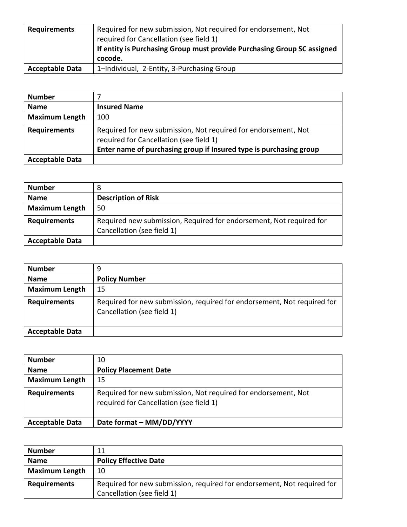| <b>Requirements</b>    | Required for new submission, Not required for endorsement, Not<br>required for Cancellation (see field 1)<br>If entity is Purchasing Group must provide Purchasing Group SC assigned<br>cocode. |
|------------------------|-------------------------------------------------------------------------------------------------------------------------------------------------------------------------------------------------|
| <b>Acceptable Data</b> | 1-Individual, 2-Entity, 3-Purchasing Group                                                                                                                                                      |

| <b>Number</b>          |                                                                                                                                                                                 |
|------------------------|---------------------------------------------------------------------------------------------------------------------------------------------------------------------------------|
| <b>Name</b>            | <b>Insured Name</b>                                                                                                                                                             |
| <b>Maximum Length</b>  | 100                                                                                                                                                                             |
| <b>Requirements</b>    | Required for new submission, Not required for endorsement, Not<br>required for Cancellation (see field 1)<br>Enter name of purchasing group if Insured type is purchasing group |
| <b>Acceptable Data</b> |                                                                                                                                                                                 |

| <b>Number</b>          |                                                                                                   |
|------------------------|---------------------------------------------------------------------------------------------------|
| <b>Name</b>            | <b>Description of Risk</b>                                                                        |
| <b>Maximum Length</b>  | 50                                                                                                |
| <b>Requirements</b>    | Required new submission, Required for endorsement, Not required for<br>Cancellation (see field 1) |
| <b>Acceptable Data</b> |                                                                                                   |

| <b>Number</b>          | 9                                                                                                     |
|------------------------|-------------------------------------------------------------------------------------------------------|
| <b>Name</b>            | <b>Policy Number</b>                                                                                  |
| <b>Maximum Length</b>  | 15                                                                                                    |
| <b>Requirements</b>    | Required for new submission, required for endorsement, Not required for<br>Cancellation (see field 1) |
| <b>Acceptable Data</b> |                                                                                                       |

| <b>Number</b>          | 10                                                                                                        |
|------------------------|-----------------------------------------------------------------------------------------------------------|
| <b>Name</b>            | <b>Policy Placement Date</b>                                                                              |
| <b>Maximum Length</b>  | 15                                                                                                        |
| <b>Requirements</b>    | Required for new submission, Not required for endorsement, Not<br>required for Cancellation (see field 1) |
| <b>Acceptable Data</b> | Date format - MM/DD/YYYY                                                                                  |

| <b>Number</b>         | 11                                                                      |
|-----------------------|-------------------------------------------------------------------------|
| <b>Name</b>           | <b>Policy Effective Date</b>                                            |
| <b>Maximum Length</b> | 10                                                                      |
| <b>Requirements</b>   | Required for new submission, required for endorsement, Not required for |
|                       | Cancellation (see field 1)                                              |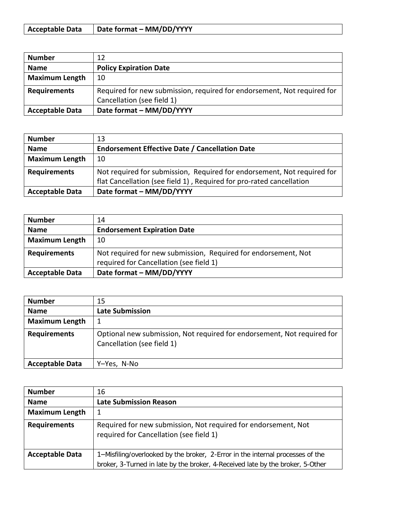| <b>Acceptable Data</b> | Date format – MM/DD/YYYY |
|------------------------|--------------------------|
|------------------------|--------------------------|

| <b>Number</b>          | 12                                                                      |
|------------------------|-------------------------------------------------------------------------|
| <b>Name</b>            | <b>Policy Expiration Date</b>                                           |
| <b>Maximum Length</b>  | 10                                                                      |
| <b>Requirements</b>    | Required for new submission, required for endorsement, Not required for |
|                        | Cancellation (see field 1)                                              |
| <b>Acceptable Data</b> | Date format - MM/DD/YYYY                                                |

| <b>Number</b>          | 13                                                                      |
|------------------------|-------------------------------------------------------------------------|
| <b>Name</b>            | <b>Endorsement Effective Date / Cancellation Date</b>                   |
| <b>Maximum Length</b>  | 10                                                                      |
| <b>Requirements</b>    | Not required for submission, Required for endorsement, Not required for |
|                        | flat Cancellation (see field 1), Required for pro-rated cancellation    |
| <b>Acceptable Data</b> | Date format - MM/DD/YYYY                                                |

| <b>Number</b>          | 14                                                             |
|------------------------|----------------------------------------------------------------|
| <b>Name</b>            | <b>Endorsement Expiration Date</b>                             |
| <b>Maximum Length</b>  | 10                                                             |
| <b>Requirements</b>    | Not required for new submission, Required for endorsement, Not |
|                        | required for Cancellation (see field 1)                        |
| <b>Acceptable Data</b> | Date format - MM/DD/YYYY                                       |

| <b>Number</b>          | 15                                                                                                    |
|------------------------|-------------------------------------------------------------------------------------------------------|
| <b>Name</b>            | <b>Late Submission</b>                                                                                |
| <b>Maximum Length</b>  |                                                                                                       |
| <b>Requirements</b>    | Optional new submission, Not required for endorsement, Not required for<br>Cancellation (see field 1) |
| <b>Acceptable Data</b> | Y-Yes, N-No                                                                                           |

| <b>Number</b>          | 16                                                                                                        |
|------------------------|-----------------------------------------------------------------------------------------------------------|
| <b>Name</b>            | <b>Late Submission Reason</b>                                                                             |
| <b>Maximum Length</b>  |                                                                                                           |
| <b>Requirements</b>    | Required for new submission, Not required for endorsement, Not<br>required for Cancellation (see field 1) |
| <b>Acceptable Data</b> | 1–Misfiling/overlooked by the broker, 2-Error in the internal processes of the                            |
|                        | broker, 3-Turned in late by the broker, 4-Received late by the broker, 5-Other                            |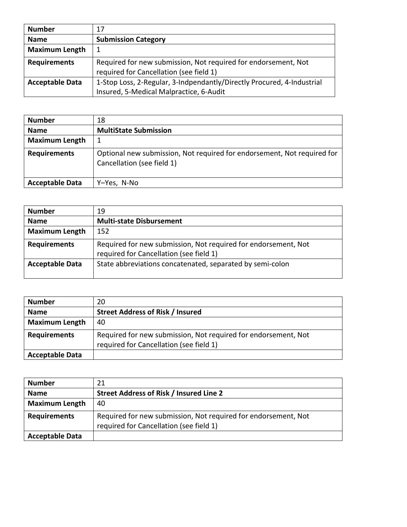| <b>Number</b>          | 17                                                                     |
|------------------------|------------------------------------------------------------------------|
| <b>Name</b>            | <b>Submission Category</b>                                             |
| <b>Maximum Length</b>  |                                                                        |
| <b>Requirements</b>    | Required for new submission, Not required for endorsement, Not         |
|                        | required for Cancellation (see field 1)                                |
| <b>Acceptable Data</b> | 1-Stop Loss, 2-Regular, 3-Indpendantly/Directly Procured, 4-Industrial |
|                        | Insured, 5-Medical Malpractice, 6-Audit                                |

| <b>Number</b>          | 18                                                                                                    |
|------------------------|-------------------------------------------------------------------------------------------------------|
| <b>Name</b>            | <b>MultiState Submission</b>                                                                          |
| <b>Maximum Length</b>  |                                                                                                       |
| <b>Requirements</b>    | Optional new submission, Not required for endorsement, Not required for<br>Cancellation (see field 1) |
| <b>Acceptable Data</b> | Y-Yes, N-No                                                                                           |

| <b>Number</b>          | 19                                                                                                        |
|------------------------|-----------------------------------------------------------------------------------------------------------|
| <b>Name</b>            | <b>Multi-state Disbursement</b>                                                                           |
| <b>Maximum Length</b>  | 152                                                                                                       |
| <b>Requirements</b>    | Required for new submission, Not required for endorsement, Not<br>required for Cancellation (see field 1) |
| <b>Acceptable Data</b> | State abbreviations concatenated, separated by semi-colon                                                 |

| <b>Number</b>          | 20                                                                                                        |
|------------------------|-----------------------------------------------------------------------------------------------------------|
| <b>Name</b>            | <b>Street Address of Risk / Insured</b>                                                                   |
| <b>Maximum Length</b>  | 40                                                                                                        |
| <b>Requirements</b>    | Required for new submission, Not required for endorsement, Not<br>required for Cancellation (see field 1) |
| <b>Acceptable Data</b> |                                                                                                           |

| <b>Number</b>          | 21                                                                                                        |
|------------------------|-----------------------------------------------------------------------------------------------------------|
| <b>Name</b>            | Street Address of Risk / Insured Line 2                                                                   |
| <b>Maximum Length</b>  | 40                                                                                                        |
| <b>Requirements</b>    | Required for new submission, Not required for endorsement, Not<br>required for Cancellation (see field 1) |
| <b>Acceptable Data</b> |                                                                                                           |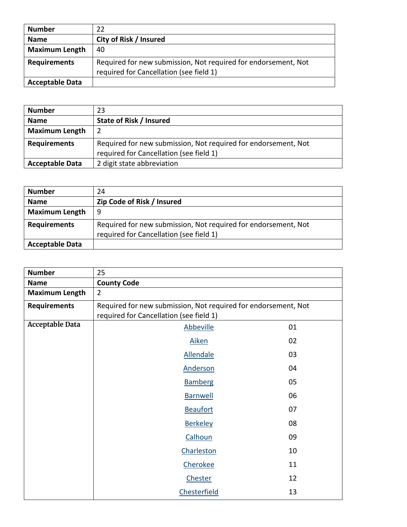| <b>Number</b>          | 22                                                                                                        |
|------------------------|-----------------------------------------------------------------------------------------------------------|
| <b>Name</b>            | City of Risk / Insured                                                                                    |
| <b>Maximum Length</b>  | 40                                                                                                        |
| <b>Requirements</b>    | Required for new submission, Not required for endorsement, Not<br>required for Cancellation (see field 1) |
| <b>Acceptable Data</b> |                                                                                                           |

| <b>Number</b>          | 23                                                                                                        |
|------------------------|-----------------------------------------------------------------------------------------------------------|
| <b>Name</b>            | State of Risk / Insured                                                                                   |
| <b>Maximum Length</b>  |                                                                                                           |
| <b>Requirements</b>    | Required for new submission, Not required for endorsement, Not<br>required for Cancellation (see field 1) |
| <b>Acceptable Data</b> | 2 digit state abbreviation                                                                                |

| <b>Number</b>          | 24                                                                                                        |
|------------------------|-----------------------------------------------------------------------------------------------------------|
| <b>Name</b>            | Zip Code of Risk / Insured                                                                                |
| <b>Maximum Length</b>  | 9                                                                                                         |
| <b>Requirements</b>    | Required for new submission, Not required for endorsement, Not<br>required for Cancellation (see field 1) |
| <b>Acceptable Data</b> |                                                                                                           |

| <b>Number</b>          | 25                                                             |    |
|------------------------|----------------------------------------------------------------|----|
| <b>Name</b>            | <b>County Code</b>                                             |    |
| <b>Maximum Length</b>  | $\overline{2}$                                                 |    |
| <b>Requirements</b>    | Required for new submission, Not required for endorsement, Not |    |
|                        | required for Cancellation (see field 1)                        |    |
| <b>Acceptable Data</b> | <b>Abbeville</b>                                               | 01 |
|                        | Aiken                                                          | 02 |
|                        | <b>Allendale</b>                                               | 03 |
|                        | Anderson                                                       | 04 |
|                        | <b>Bamberg</b>                                                 | 05 |
|                        | <b>Barnwell</b>                                                | 06 |
|                        | <b>Beaufort</b>                                                | 07 |
|                        | <b>Berkeley</b>                                                | 08 |
|                        | Calhoun                                                        | 09 |
|                        | Charleston                                                     | 10 |
|                        | Cherokee                                                       | 11 |
|                        | Chester                                                        | 12 |
|                        | <b>Chesterfield</b>                                            | 13 |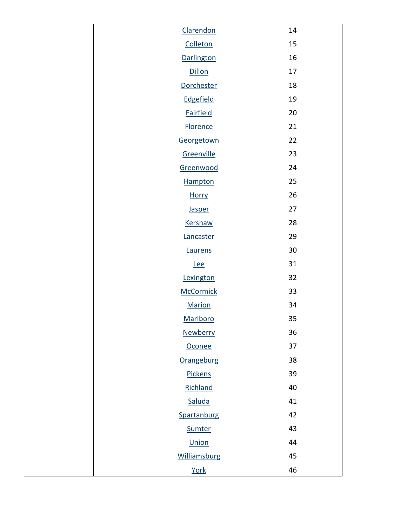| Clarendon        | 14              |
|------------------|-----------------|
| Colleton         | 15              |
| Darlington       | 16              |
| Dillon           | 17              |
| Dorchester       | 18              |
| Edgefield        | 19              |
| <b>Fairfield</b> | 20              |
| <b>Florence</b>  | 21              |
| Georgetown       | 22              |
| Greenville       | 23              |
| Greenwood        | 24              |
| Hampton          | 25              |
| <b>Horry</b>     | 26              |
| <b>Jasper</b>    | 27              |
| Kershaw          | 28              |
| Lancaster        | 29              |
| Laurens          | 30 <sup>°</sup> |
| <b>Lee</b>       | 31              |
| Lexington        | 32              |
| <b>McCormick</b> | 33              |
| <b>Marion</b>    | 34              |
| Marlboro         | 35              |
| Newberry         | 36              |
| Oconee           | 37              |
| Orangeburg       | 38              |
| Pickens          | 39              |
| Richland         | 40              |
| Saluda           | 41              |
| Spartanburg      | 42              |
| Sumter           | 43              |
| Union            | 44              |
| Williamsburg     | 45              |
| York             | 46              |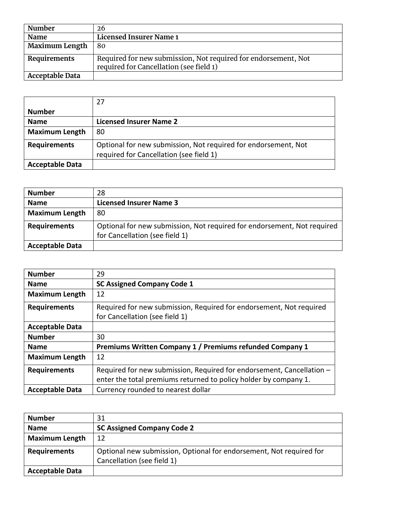| Number                | 26                                                                                                        |
|-----------------------|-----------------------------------------------------------------------------------------------------------|
| <b>Name</b>           | <b>Licensed Insurer Name 1</b>                                                                            |
| <b>Maximum Length</b> | 80                                                                                                        |
| Requirements          | Required for new submission, Not required for endorsement, Not<br>required for Cancellation (see field 1) |
| Acceptable Data       |                                                                                                           |

|                        | 27                                                                                                        |
|------------------------|-----------------------------------------------------------------------------------------------------------|
| <b>Number</b>          |                                                                                                           |
| <b>Name</b>            | <b>Licensed Insurer Name 2</b>                                                                            |
| <b>Maximum Length</b>  | 80                                                                                                        |
| <b>Requirements</b>    | Optional for new submission, Not required for endorsement, Not<br>required for Cancellation (see field 1) |
| <b>Acceptable Data</b> |                                                                                                           |

| <b>Number</b>          | 28                                                                                                        |
|------------------------|-----------------------------------------------------------------------------------------------------------|
| <b>Name</b>            | <b>Licensed Insurer Name 3</b>                                                                            |
| <b>Maximum Length</b>  | 80                                                                                                        |
| <b>Requirements</b>    | Optional for new submission, Not required for endorsement, Not required<br>for Cancellation (see field 1) |
| <b>Acceptable Data</b> |                                                                                                           |

| <b>Number</b>          | 29                                                                    |
|------------------------|-----------------------------------------------------------------------|
| <b>Name</b>            | <b>SC Assigned Company Code 1</b>                                     |
| <b>Maximum Length</b>  | 12                                                                    |
| <b>Requirements</b>    | Required for new submission, Required for endorsement, Not required   |
|                        | for Cancellation (see field 1)                                        |
| <b>Acceptable Data</b> |                                                                       |
| <b>Number</b>          | 30                                                                    |
| <b>Name</b>            | Premiums Written Company 1 / Premiums refunded Company 1              |
| <b>Maximum Length</b>  | 12                                                                    |
| <b>Requirements</b>    | Required for new submission, Required for endorsement, Cancellation - |
|                        | enter the total premiums returned to policy holder by company 1.      |
| <b>Acceptable Data</b> | Currency rounded to nearest dollar                                    |

| <b>Number</b>          | 31                                                                                                |
|------------------------|---------------------------------------------------------------------------------------------------|
| <b>Name</b>            | <b>SC Assigned Company Code 2</b>                                                                 |
| <b>Maximum Length</b>  | 12                                                                                                |
| <b>Requirements</b>    | Optional new submission, Optional for endorsement, Not required for<br>Cancellation (see field 1) |
| <b>Acceptable Data</b> |                                                                                                   |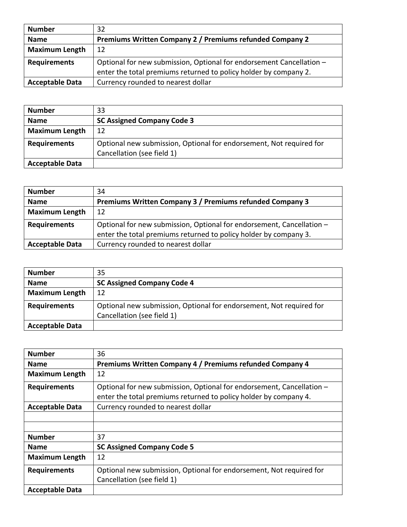| <b>Number</b>          | 32                                                                   |
|------------------------|----------------------------------------------------------------------|
| <b>Name</b>            | Premiums Written Company 2 / Premiums refunded Company 2             |
| <b>Maximum Length</b>  | 12                                                                   |
| <b>Requirements</b>    | Optional for new submission, Optional for endorsement Cancellation - |
|                        | enter the total premiums returned to policy holder by company 2.     |
| <b>Acceptable Data</b> | Currency rounded to nearest dollar                                   |

| <b>Number</b>          | 33                                                                  |
|------------------------|---------------------------------------------------------------------|
| <b>Name</b>            | <b>SC Assigned Company Code 3</b>                                   |
| <b>Maximum Length</b>  | 12                                                                  |
| <b>Requirements</b>    | Optional new submission, Optional for endorsement, Not required for |
|                        | Cancellation (see field 1)                                          |
| <b>Acceptable Data</b> |                                                                     |

| <b>Number</b>          | 34                                                                                                                                        |
|------------------------|-------------------------------------------------------------------------------------------------------------------------------------------|
| <b>Name</b>            | Premiums Written Company 3 / Premiums refunded Company 3                                                                                  |
| <b>Maximum Length</b>  | 12                                                                                                                                        |
| <b>Requirements</b>    | Optional for new submission, Optional for endorsement, Cancellation -<br>enter the total premiums returned to policy holder by company 3. |
| <b>Acceptable Data</b> | Currency rounded to nearest dollar                                                                                                        |

| <b>Number</b>          | 35                                                                  |
|------------------------|---------------------------------------------------------------------|
| <b>Name</b>            | <b>SC Assigned Company Code 4</b>                                   |
| <b>Maximum Length</b>  | 12                                                                  |
| <b>Requirements</b>    | Optional new submission, Optional for endorsement, Not required for |
|                        | Cancellation (see field 1)                                          |
| <b>Acceptable Data</b> |                                                                     |

| <b>Number</b>          | 36                                                                    |
|------------------------|-----------------------------------------------------------------------|
| <b>Name</b>            | Premiums Written Company 4 / Premiums refunded Company 4              |
| <b>Maximum Length</b>  | 12                                                                    |
| <b>Requirements</b>    | Optional for new submission, Optional for endorsement, Cancellation - |
|                        | enter the total premiums returned to policy holder by company 4.      |
| <b>Acceptable Data</b> | Currency rounded to nearest dollar                                    |
|                        |                                                                       |
|                        |                                                                       |
| <b>Number</b>          | 37                                                                    |
| <b>Name</b>            | <b>SC Assigned Company Code 5</b>                                     |
| <b>Maximum Length</b>  | 12                                                                    |
| <b>Requirements</b>    | Optional new submission, Optional for endorsement, Not required for   |
|                        | Cancellation (see field 1)                                            |
| <b>Acceptable Data</b> |                                                                       |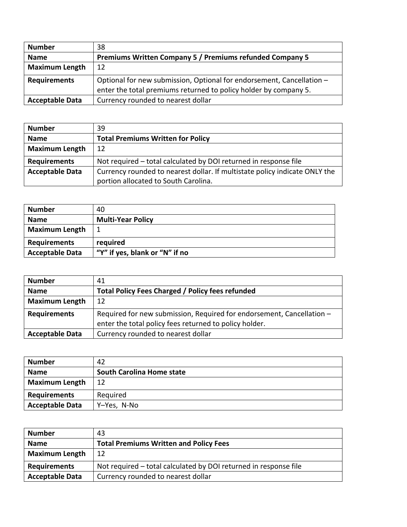| <b>Number</b>          | 38                                                                    |
|------------------------|-----------------------------------------------------------------------|
| <b>Name</b>            | <b>Premiums Written Company 5 / Premiums refunded Company 5</b>       |
| <b>Maximum Length</b>  | 12                                                                    |
| <b>Requirements</b>    | Optional for new submission, Optional for endorsement, Cancellation - |
|                        | enter the total premiums returned to policy holder by company 5.      |
| <b>Acceptable Data</b> | Currency rounded to nearest dollar                                    |

| <b>Number</b>          | 39                                                                         |
|------------------------|----------------------------------------------------------------------------|
| <b>Name</b>            | <b>Total Premiums Written for Policy</b>                                   |
| <b>Maximum Length</b>  | 12                                                                         |
| <b>Requirements</b>    | Not required - total calculated by DOI returned in response file           |
| <b>Acceptable Data</b> | Currency rounded to nearest dollar. If multistate policy indicate ONLY the |
|                        | portion allocated to South Carolina.                                       |

| <b>Number</b>          | 40                             |
|------------------------|--------------------------------|
| <b>Name</b>            | <b>Multi-Year Policy</b>       |
| <b>Maximum Length</b>  | 1                              |
| <b>Requirements</b>    | required                       |
| <b>Acceptable Data</b> | "Y" if yes, blank or "N" if no |

| <b>Number</b>          | 41                                                                    |
|------------------------|-----------------------------------------------------------------------|
| <b>Name</b>            | <b>Total Policy Fees Charged / Policy fees refunded</b>               |
| <b>Maximum Length</b>  | 12                                                                    |
| <b>Requirements</b>    | Required for new submission, Required for endorsement, Cancellation - |
|                        | enter the total policy fees returned to policy holder.                |
| <b>Acceptable Data</b> | Currency rounded to nearest dollar                                    |

| <b>Number</b>          | 42                               |
|------------------------|----------------------------------|
| <b>Name</b>            | <b>South Carolina Home state</b> |
| <b>Maximum Length</b>  | 12                               |
| <b>Requirements</b>    | Required                         |
| <b>Acceptable Data</b> | Y-Yes, N-No                      |

| <b>Number</b>          | 43                                                               |
|------------------------|------------------------------------------------------------------|
| <b>Name</b>            | <b>Total Premiums Written and Policy Fees</b>                    |
| <b>Maximum Length</b>  | 12                                                               |
| <b>Requirements</b>    | Not required – total calculated by DOI returned in response file |
| <b>Acceptable Data</b> | Currency rounded to nearest dollar                               |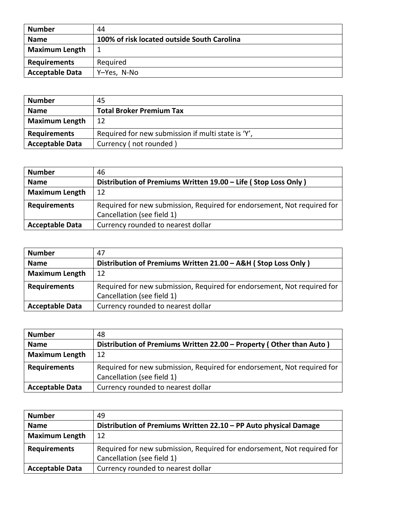| <b>Number</b>          | 44                                          |
|------------------------|---------------------------------------------|
| <b>Name</b>            | 100% of risk located outside South Carolina |
| <b>Maximum Length</b>  |                                             |
| <b>Requirements</b>    | Required                                    |
| <b>Acceptable Data</b> | Y-Yes, N-No                                 |

| <b>Number</b>          | 45                                                 |
|------------------------|----------------------------------------------------|
| <b>Name</b>            | <b>Total Broker Premium Tax</b>                    |
| <b>Maximum Length</b>  | 12                                                 |
| <b>Requirements</b>    | Required for new submission if multi state is 'Y', |
| <b>Acceptable Data</b> | Currency (not rounded)                             |

| <b>Number</b>          | 46                                                                      |
|------------------------|-------------------------------------------------------------------------|
| <b>Name</b>            | Distribution of Premiums Written 19.00 - Life (Stop Loss Only)          |
| <b>Maximum Length</b>  | 12                                                                      |
| <b>Requirements</b>    | Required for new submission, Required for endorsement, Not required for |
|                        | Cancellation (see field 1)                                              |
| <b>Acceptable Data</b> | Currency rounded to nearest dollar                                      |

| <b>Number</b>          | 47                                                                      |
|------------------------|-------------------------------------------------------------------------|
| <b>Name</b>            | Distribution of Premiums Written 21.00 - A&H (Stop Loss Only)           |
| <b>Maximum Length</b>  | 12                                                                      |
| <b>Requirements</b>    | Required for new submission, Required for endorsement, Not required for |
|                        | Cancellation (see field 1)                                              |
| <b>Acceptable Data</b> | Currency rounded to nearest dollar                                      |

| <b>Number</b>          | 48                                                                      |
|------------------------|-------------------------------------------------------------------------|
| <b>Name</b>            | Distribution of Premiums Written 22.00 - Property (Other than Auto)     |
| <b>Maximum Length</b>  | 12                                                                      |
| <b>Requirements</b>    | Required for new submission, Required for endorsement, Not required for |
|                        | Cancellation (see field 1)                                              |
| <b>Acceptable Data</b> | Currency rounded to nearest dollar                                      |

| <b>Number</b>          | 49                                                                      |
|------------------------|-------------------------------------------------------------------------|
| <b>Name</b>            | Distribution of Premiums Written 22.10 - PP Auto physical Damage        |
| <b>Maximum Length</b>  | 12                                                                      |
| <b>Requirements</b>    | Required for new submission, Required for endorsement, Not required for |
|                        | Cancellation (see field 1)                                              |
| <b>Acceptable Data</b> | Currency rounded to nearest dollar                                      |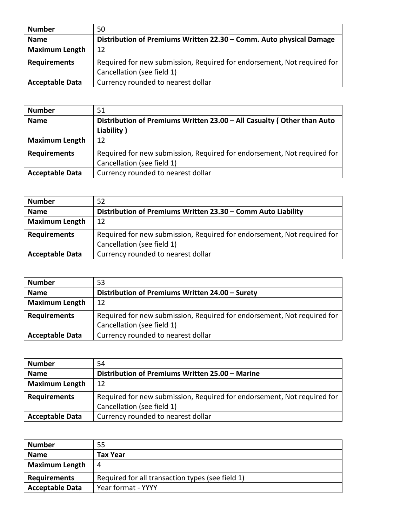| <b>Number</b>          | 50                                                                      |
|------------------------|-------------------------------------------------------------------------|
| <b>Name</b>            | Distribution of Premiums Written 22.30 - Comm. Auto physical Damage     |
| <b>Maximum Length</b>  | 12                                                                      |
| <b>Requirements</b>    | Required for new submission, Required for endorsement, Not required for |
|                        | Cancellation (see field 1)                                              |
| <b>Acceptable Data</b> | Currency rounded to nearest dollar                                      |

| <b>Number</b>          | 51                                                                      |
|------------------------|-------------------------------------------------------------------------|
| <b>Name</b>            | Distribution of Premiums Written 23.00 - All Casualty (Other than Auto  |
|                        | Liability)                                                              |
| <b>Maximum Length</b>  | 12                                                                      |
| <b>Requirements</b>    | Required for new submission, Required for endorsement, Not required for |
|                        | Cancellation (see field 1)                                              |
| <b>Acceptable Data</b> | Currency rounded to nearest dollar                                      |

| <b>Number</b>          | 52                                                                      |
|------------------------|-------------------------------------------------------------------------|
| <b>Name</b>            | Distribution of Premiums Written 23.30 - Comm Auto Liability            |
| <b>Maximum Length</b>  | 12                                                                      |
| <b>Requirements</b>    | Required for new submission, Required for endorsement, Not required for |
|                        | Cancellation (see field 1)                                              |
| <b>Acceptable Data</b> | Currency rounded to nearest dollar                                      |

| <b>Number</b>          | 53                                                                      |
|------------------------|-------------------------------------------------------------------------|
| <b>Name</b>            | Distribution of Premiums Written 24.00 - Surety                         |
| <b>Maximum Length</b>  | 12                                                                      |
| <b>Requirements</b>    | Required for new submission, Required for endorsement, Not required for |
|                        | Cancellation (see field 1)                                              |
| <b>Acceptable Data</b> | Currency rounded to nearest dollar                                      |

| <b>Number</b>          | 54                                                                      |
|------------------------|-------------------------------------------------------------------------|
| <b>Name</b>            | Distribution of Premiums Written 25.00 - Marine                         |
| <b>Maximum Length</b>  | 12                                                                      |
| <b>Requirements</b>    | Required for new submission, Required for endorsement, Not required for |
|                        | Cancellation (see field 1)                                              |
| <b>Acceptable Data</b> | Currency rounded to nearest dollar                                      |

| <b>Number</b>          | 55                                               |
|------------------------|--------------------------------------------------|
| <b>Name</b>            | Tax Year                                         |
| <b>Maximum Length</b>  | 4                                                |
| <b>Requirements</b>    | Required for all transaction types (see field 1) |
| <b>Acceptable Data</b> | Year format - YYYY                               |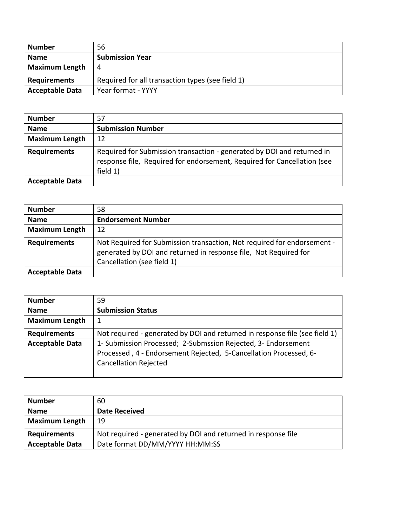| <b>Number</b>          | 56                                               |
|------------------------|--------------------------------------------------|
| <b>Name</b>            | <b>Submission Year</b>                           |
| <b>Maximum Length</b>  | 4                                                |
| <b>Requirements</b>    | Required for all transaction types (see field 1) |
| <b>Acceptable Data</b> | Year format - YYYY                               |

| <b>Number</b>          | 57                                                                                                                                                            |
|------------------------|---------------------------------------------------------------------------------------------------------------------------------------------------------------|
| <b>Name</b>            | <b>Submission Number</b>                                                                                                                                      |
| <b>Maximum Length</b>  | 12                                                                                                                                                            |
| <b>Requirements</b>    | Required for Submission transaction - generated by DOI and returned in<br>response file, Required for endorsement, Required for Cancellation (see<br>field 1) |
| <b>Acceptable Data</b> |                                                                                                                                                               |

| <b>Number</b>          | 58                                                                                                                                                                        |
|------------------------|---------------------------------------------------------------------------------------------------------------------------------------------------------------------------|
| <b>Name</b>            | <b>Endorsement Number</b>                                                                                                                                                 |
| <b>Maximum Length</b>  | 12                                                                                                                                                                        |
| <b>Requirements</b>    | Not Required for Submission transaction, Not required for endorsement -<br>generated by DOI and returned in response file, Not Required for<br>Cancellation (see field 1) |
| <b>Acceptable Data</b> |                                                                                                                                                                           |

| <b>Number</b>          | 59                                                                                                                                                                 |
|------------------------|--------------------------------------------------------------------------------------------------------------------------------------------------------------------|
| <b>Name</b>            | <b>Submission Status</b>                                                                                                                                           |
| <b>Maximum Length</b>  | 1                                                                                                                                                                  |
| <b>Requirements</b>    | Not required - generated by DOI and returned in response file (see field 1)                                                                                        |
| <b>Acceptable Data</b> | 1- Submission Processed; 2-Submssion Rejected, 3- Endorsement<br>Processed, 4 - Endorsement Rejected, 5-Cancellation Processed, 6-<br><b>Cancellation Rejected</b> |

| <b>Number</b>          | 60                                                            |
|------------------------|---------------------------------------------------------------|
| <b>Name</b>            | <b>Date Received</b>                                          |
| <b>Maximum Length</b>  | 19                                                            |
| <b>Requirements</b>    | Not required - generated by DOI and returned in response file |
| <b>Acceptable Data</b> | Date format DD/MM/YYYY HH:MM:SS                               |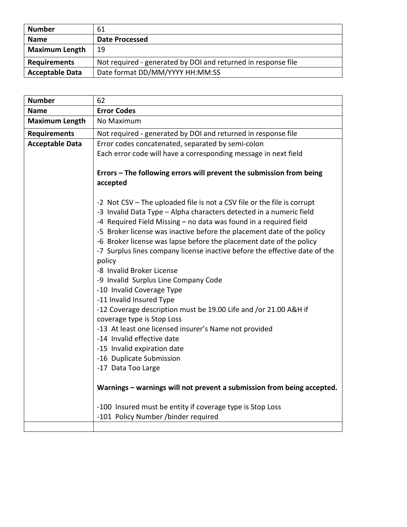| <b>Number</b>          | 61                                                            |
|------------------------|---------------------------------------------------------------|
| <b>Name</b>            | Date Processed                                                |
| <b>Maximum Length</b>  | 19                                                            |
| <b>Requirements</b>    | Not required - generated by DOI and returned in response file |
| <b>Acceptable Data</b> | Date format DD/MM/YYYY HH:MM:SS                               |

| <b>Number</b>          | 62                                                                                                                                                                                                                                                                                                                                                                                                                                                                                                                                                                                                                                                                                                                                                                                                                                                                                                                                                                                                                                                 |
|------------------------|----------------------------------------------------------------------------------------------------------------------------------------------------------------------------------------------------------------------------------------------------------------------------------------------------------------------------------------------------------------------------------------------------------------------------------------------------------------------------------------------------------------------------------------------------------------------------------------------------------------------------------------------------------------------------------------------------------------------------------------------------------------------------------------------------------------------------------------------------------------------------------------------------------------------------------------------------------------------------------------------------------------------------------------------------|
| <b>Name</b>            | <b>Error Codes</b>                                                                                                                                                                                                                                                                                                                                                                                                                                                                                                                                                                                                                                                                                                                                                                                                                                                                                                                                                                                                                                 |
| <b>Maximum Length</b>  | No Maximum                                                                                                                                                                                                                                                                                                                                                                                                                                                                                                                                                                                                                                                                                                                                                                                                                                                                                                                                                                                                                                         |
| <b>Requirements</b>    | Not required - generated by DOI and returned in response file                                                                                                                                                                                                                                                                                                                                                                                                                                                                                                                                                                                                                                                                                                                                                                                                                                                                                                                                                                                      |
| <b>Acceptable Data</b> | Error codes concatenated, separated by semi-colon                                                                                                                                                                                                                                                                                                                                                                                                                                                                                                                                                                                                                                                                                                                                                                                                                                                                                                                                                                                                  |
|                        | Each error code will have a corresponding message in next field                                                                                                                                                                                                                                                                                                                                                                                                                                                                                                                                                                                                                                                                                                                                                                                                                                                                                                                                                                                    |
|                        | Errors - The following errors will prevent the submission from being<br>accepted                                                                                                                                                                                                                                                                                                                                                                                                                                                                                                                                                                                                                                                                                                                                                                                                                                                                                                                                                                   |
|                        | -2 Not CSV – The uploaded file is not a CSV file or the file is corrupt<br>-3 Invalid Data Type - Alpha characters detected in a numeric field<br>-4 Required Field Missing - no data was found in a required field<br>-5 Broker license was inactive before the placement date of the policy<br>-6 Broker license was lapse before the placement date of the policy<br>-7 Surplus lines company license inactive before the effective date of the<br>policy<br>-8 Invalid Broker License<br>-9 Invalid Surplus Line Company Code<br>-10 Invalid Coverage Type<br>-11 Invalid Insured Type<br>-12 Coverage description must be 19.00 Life and /or 21.00 A&H if<br>coverage type is Stop Loss<br>-13 At least one licensed insurer's Name not provided<br>-14 Invalid effective date<br>-15 Invalid expiration date<br>-16 Duplicate Submission<br>-17 Data Too Large<br>Warnings - warnings will not prevent a submission from being accepted.<br>-100 Insured must be entity if coverage type is Stop Loss<br>-101 Policy Number /binder required |
|                        |                                                                                                                                                                                                                                                                                                                                                                                                                                                                                                                                                                                                                                                                                                                                                                                                                                                                                                                                                                                                                                                    |
|                        |                                                                                                                                                                                                                                                                                                                                                                                                                                                                                                                                                                                                                                                                                                                                                                                                                                                                                                                                                                                                                                                    |